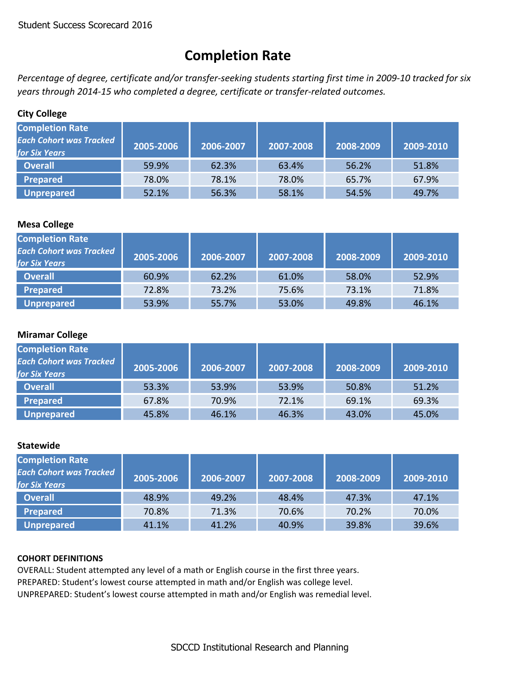# **Completion Rate**

Percentage of degree, certificate and/or transfer-seeking students starting first time in 2009-10 tracked for six *years through 2014‐15 who completed a degree, certificate or transfer‐related outcomes.*

## **City College**

| <b>Completion Rate</b><br><b>Each Cohort was Tracked</b><br><b>for Six Years</b> | 2005-2006 | 2006-2007 | 2007-2008 | 2008-2009 | 2009-2010 |
|----------------------------------------------------------------------------------|-----------|-----------|-----------|-----------|-----------|
| <b>Overall</b>                                                                   | 59.9%     | 62.3%     | 63.4%     | 56.2%     | 51.8%     |
| Prepared                                                                         | 78.0%     | 78.1%     | 78.0%     | 65.7%     | 67.9%     |
| <b>Unprepared</b>                                                                | 52.1%     | 56.3%     | 58.1%     | 54.5%     | 49.7%     |

## **Mesa College**

| <b>Completion Rate</b><br><b>Each Cohort was Tracked</b><br><b>for Six Years</b> | 2005-2006 | 2006-2007 | 2007-2008 | 2008-2009 | 2009-2010 |
|----------------------------------------------------------------------------------|-----------|-----------|-----------|-----------|-----------|
| <b>Overall</b>                                                                   | 60.9%     | 62.2%     | 61.0%     | 58.0%     | 52.9%     |
| <b>Prepared</b>                                                                  | 72.8%     | 73.2%     | 75.6%     | 73.1%     | 71.8%     |
| <b>Unprepared</b>                                                                | 53.9%     | 55.7%     | 53.0%     | 49.8%     | 46.1%     |

## **Miramar College**

| <b>Completion Rate</b><br><b>Each Cohort was Tracked</b><br><b>for Six Years</b> | 2005-2006 | 2006-2007 | 2007-2008 | 2008-2009 | 2009-2010 |
|----------------------------------------------------------------------------------|-----------|-----------|-----------|-----------|-----------|
| <b>Overall</b>                                                                   | 53.3%     | 53.9%     | 53.9%     | 50.8%     | 51.2%     |
| Prepared                                                                         | 67.8%     | 70.9%     | 72.1%     | 69.1%     | 69.3%     |
| <b>Unprepared</b>                                                                | 45.8%     | 46.1%     | 46.3%     | 43.0%     | 45.0%     |

## **Statewide**

| <b>Completion Rate</b><br><b>Each Cohort was Tracked</b><br>for Six Years | 2005-2006 | 2006-2007 | 2007-2008 | 2008-2009 | 2009-2010 |
|---------------------------------------------------------------------------|-----------|-----------|-----------|-----------|-----------|
| <b>Overall</b>                                                            | 48.9%     | 49.2%     | 48.4%     | 47.3%     | 47.1%     |
| Prepared                                                                  | 70.8%     | 71.3%     | 70.6%     | 70.2%     | 70.0%     |
| Unprepared                                                                | 41.1%     | 41.2%     | 40.9%     | 39.8%     | 39.6%     |

## **COHORT DEFINITIONS**

OVERALL: Student attempted any level of a math or English course in the first three years. PREPARED: Student's lowest course attempted in math and/or English was college level. UNPREPARED: Student's lowest course attempted in math and/or English was remedial level.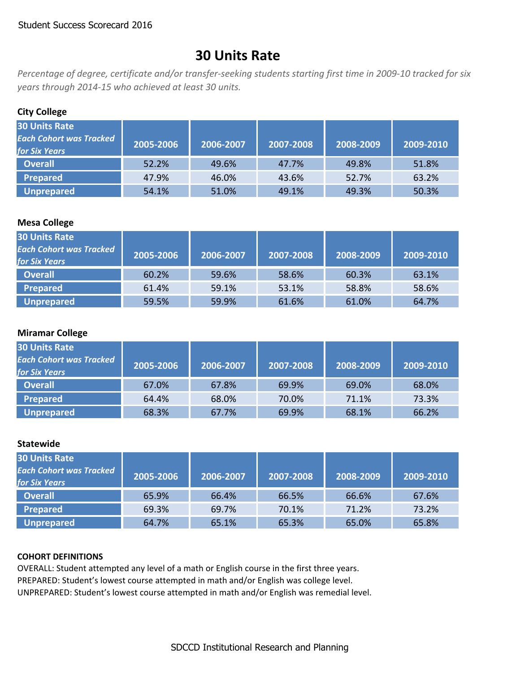## **30 Units Rate**

Percentage of degree, certificate and/or transfer-seeking students starting first time in 2009-10 tracked for six *years through 2014‐15 who achieved at least 30 units.*

## **City College**

| <b>30 Units Rate</b><br><b>Each Cohort was Tracked</b><br><b>for Six Years</b> | 2005-2006 | 2006-2007 | 2007-2008 | 2008-2009 | 2009-2010 |
|--------------------------------------------------------------------------------|-----------|-----------|-----------|-----------|-----------|
| <b>Overall</b>                                                                 | 52.2%     | 49.6%     | 47.7%     | 49.8%     | 51.8%     |
| <b>Prepared</b>                                                                | 47.9%     | 46.0%     | 43.6%     | 52.7%     | 63.2%     |
| <b>Unprepared</b>                                                              | 54.1%     | 51.0%     | 49.1%     | 49.3%     | 50.3%     |

## **Mesa College**

| <b>30 Units Rate</b><br><b>Each Cohort was Tracked</b><br><b>for Six Years</b> | 2005-2006 | 2006-2007 | 2007-2008 | 2008-2009 | 2009-2010 |
|--------------------------------------------------------------------------------|-----------|-----------|-----------|-----------|-----------|
| <b>Overall</b>                                                                 | 60.2%     | 59.6%     | 58.6%     | 60.3%     | 63.1%     |
| Prepared                                                                       | 61.4%     | 59.1%     | 53.1%     | 58.8%     | 58.6%     |
| <b>Unprepared</b>                                                              | 59.5%     | 59.9%     | 61.6%     | 61.0%     | 64.7%     |

### **Miramar College**

| <b>30 Units Rate</b><br><b>Each Cohort was Tracked</b><br><b>for Six Years</b> | 2005-2006 | 2006-2007 | 2007-2008 | 2008-2009 | 2009-2010 |
|--------------------------------------------------------------------------------|-----------|-----------|-----------|-----------|-----------|
| <b>Overall</b>                                                                 | 67.0%     | 67.8%     | 69.9%     | 69.0%     | 68.0%     |
| <b>Prepared</b>                                                                | 64.4%     | 68.0%     | 70.0%     | 71.1%     | 73.3%     |
| <b>Unprepared</b>                                                              | 68.3%     | 67.7%     | 69.9%     | 68.1%     | 66.2%     |

## **Statewide**

| <b>30 Units Rate</b><br><b>Each Cohort was Tracked</b><br><b>for Six Years</b> | 2005-2006 | 2006-2007 | 2007-2008 | 2008-2009 | 2009-2010 |
|--------------------------------------------------------------------------------|-----------|-----------|-----------|-----------|-----------|
| <b>Overall</b>                                                                 | 65.9%     | 66.4%     | 66.5%     | 66.6%     | 67.6%     |
| <b>Prepared</b>                                                                | 69.3%     | 69.7%     | 70.1%     | 71.2%     | 73.2%     |
| <b>Unprepared</b>                                                              | 64.7%     | 65.1%     | 65.3%     | 65.0%     | 65.8%     |

#### **COHORT DEFINITIONS**

OVERALL: Student attempted any level of a math or English course in the first three years. PREPARED: Student's lowest course attempted in math and/or English was college level. UNPREPARED: Student's lowest course attempted in math and/or English was remedial level.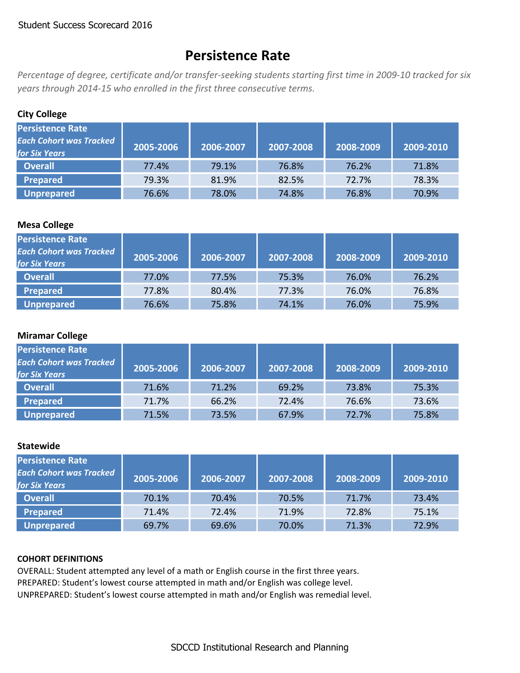## **Persistence Rate**

Percentage of degree, certificate and/or transfer-seeking students starting first time in 2009-10 tracked for six *years through 2014‐15 who enrolled in the first three consecutive terms.*

## **City College**

| Persistence Rate<br><b>Each Cohort was Tracked</b><br><b>for Six Years</b> | 2005-2006 | 2006-2007 | 2007-2008 | 2008-2009 | 2009-2010 |
|----------------------------------------------------------------------------|-----------|-----------|-----------|-----------|-----------|
| <b>Overall</b>                                                             | 77.4%     | 79.1%     | 76.8%     | 76.2%     | 71.8%     |
| <b>Prepared</b>                                                            | 79.3%     | 81.9%     | 82.5%     | 72.7%     | 78.3%     |
| <b>Unprepared</b>                                                          | 76.6%     | 78.0%     | 74.8%     | 76.8%     | 70.9%     |

## **Mesa College**

| <b>Persistence Rate</b><br><b>Each Cohort was Tracked</b><br><b>for Six Years</b> | 2005-2006 | 2006-2007 | 2007-2008 | 2008-2009 | 2009-2010 |
|-----------------------------------------------------------------------------------|-----------|-----------|-----------|-----------|-----------|
| <b>Overall</b>                                                                    | 77.0%     | 77.5%     | 75.3%     | 76.0%     | 76.2%     |
| Prepared                                                                          | 77.8%     | 80.4%     | 77.3%     | 76.0%     | 76.8%     |
| <b>Unprepared</b>                                                                 | 76.6%     | 75.8%     | 74.1%     | 76.0%     | 75.9%     |

### **Miramar College**

| <b>Persistence Rate</b><br><b>Each Cohort was Tracked</b><br><b>for Six Years</b> | 2005-2006 | 2006-2007 | 2007-2008 | 2008-2009 | 2009-2010 |
|-----------------------------------------------------------------------------------|-----------|-----------|-----------|-----------|-----------|
| <b>Overall</b>                                                                    | 71.6%     | 71.2%     | 69.2%     | 73.8%     | 75.3%     |
| <b>Prepared</b>                                                                   | 71.7%     | 66.2%     | 72.4%     | 76.6%     | 73.6%     |
| <b>Unprepared</b>                                                                 | 71.5%     | 73.5%     | 67.9%     | 72.7%     | 75.8%     |

### **Statewide**

| <b>Persistence Rate</b><br><b>Each Cohort was Tracked</b><br><b>for Six Years</b> | 2005-2006 | 2006-2007 | 2007-2008 | 2008-2009 | 2009-2010 |
|-----------------------------------------------------------------------------------|-----------|-----------|-----------|-----------|-----------|
| <b>Overall</b>                                                                    | 70.1%     | 70.4%     | 70.5%     | 71.7%     | 73.4%     |
| Prepared                                                                          | 71.4%     | 72.4%     | 71.9%     | 72.8%     | 75.1%     |
| <b>Unprepared</b>                                                                 | 69.7%     | 69.6%     | 70.0%     | 71.3%     | 72.9%     |

#### **COHORT DEFINITIONS**

OVERALL: Student attempted any level of a math or English course in the first three years. PREPARED: Student's lowest course attempted in math and/or English was college level. UNPREPARED: Student's lowest course attempted in math and/or English was remedial level.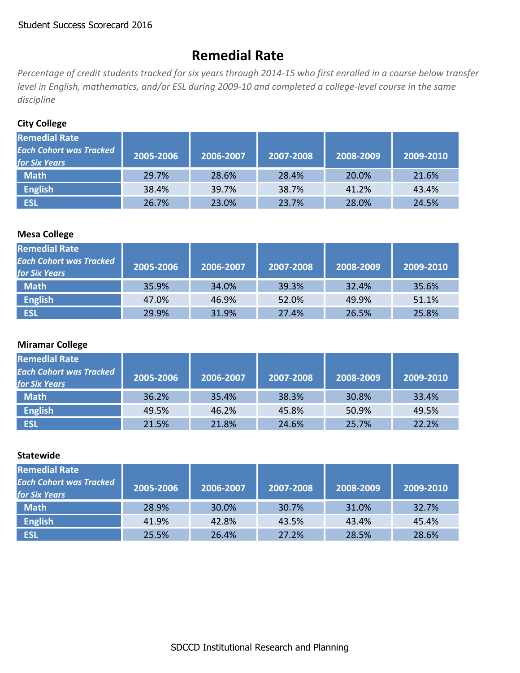# **Remedial Rate**

Percentage of credit students tracked for six years through 2014-15 who first enrolled in a course below transfer level in English, mathematics, and/or ESL during 2009-10 and completed a college-level course in the same *discipline*

## **City College**

| <b>Remedial Rate</b><br><b>Each Cohort was Tracked</b><br><b>for Six Years</b> | 2005-2006 | 2006-2007 | 2007-2008 | 2008-2009 | 2009-2010 |
|--------------------------------------------------------------------------------|-----------|-----------|-----------|-----------|-----------|
| <b>Math</b>                                                                    | 29.7%     | 28.6%     | 28.4%     | 20.0%     | 21.6%     |
| <b>English</b>                                                                 | 38.4%     | 39.7%     | 38.7%     | 41.2%     | 43.4%     |
| <b>ESL</b>                                                                     | 26.7%     | 23.0%     | 23.7%     | 28.0%     | 24.5%     |

## **Mesa College**

| <b>Remedial Rate</b><br><b>Each Cohort was Tracked</b><br><b>for Six Years</b> | 2005-2006 | 2006-2007 | 2007-2008 | 2008-2009 | 2009-2010 |
|--------------------------------------------------------------------------------|-----------|-----------|-----------|-----------|-----------|
| <b>Math</b>                                                                    | 35.9%     | 34.0%     | 39.3%     | 32.4%     | 35.6%     |
| <b>English</b>                                                                 | 47.0%     | 46.9%     | 52.0%     | 49.9%     | 51.1%     |
| <b>ESL</b>                                                                     | 29.9%     | 31.9%     | 27.4%     | 26.5%     | 25.8%     |

## **Miramar College**

| <b>Remedial Rate</b><br><b>Each Cohort was Tracked</b><br><b>for Six Years</b> | 2005-2006 | 2006-2007 | 2007-2008 | 2008-2009 | 2009-2010 |
|--------------------------------------------------------------------------------|-----------|-----------|-----------|-----------|-----------|
| <b>Math</b>                                                                    | 36.2%     | 35.4%     | 38.3%     | 30.8%     | 33.4%     |
| <b>English</b>                                                                 | 49.5%     | 46.2%     | 45.8%     | 50.9%     | 49.5%     |
| <b>ESL</b>                                                                     | 21.5%     | 21.8%     | 24.6%     | 25.7%     | 22.2%     |

| <b>Remedial Rate</b><br><b>Each Cohort was Tracked</b><br><b>for Six Years</b> | 2005-2006 | 2006-2007 | 2007-2008 | 2008-2009 | 2009-2010 |
|--------------------------------------------------------------------------------|-----------|-----------|-----------|-----------|-----------|
| <b>Math</b>                                                                    | 28.9%     | 30.0%     | 30.7%     | 31.0%     | 32.7%     |
| <b>English</b>                                                                 | 41.9%     | 42.8%     | 43.5%     | 43.4%     | 45.4%     |
| <b>ESL</b>                                                                     | 25.5%     | 26.4%     | 27.2%     | 28.5%     | 28.6%     |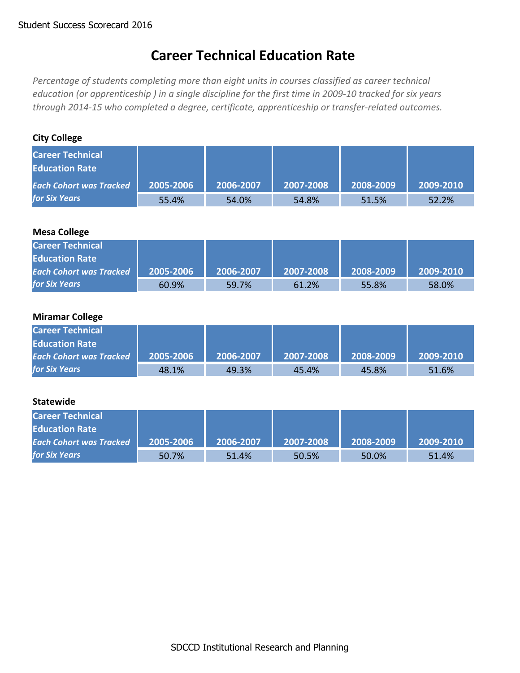## **Career Technical Education Rate**

*Percentage of students completing more than eight units in courses classified as career technical* education (or apprenticeship) in a single discipline for the first time in 2009-10 tracked for six years *through 2014‐15 who completed a degree, certificate, apprenticeship or transfer‐related outcomes.*

## **City College**

| <b>Career Technical</b><br><b>Education Rate</b> |           |           |           |           |           |
|--------------------------------------------------|-----------|-----------|-----------|-----------|-----------|
| <b>Each Cohort was Tracked</b>                   | 2005-2006 | 2006-2007 | 2007-2008 | 2008-2009 | 2009-2010 |
| <b>for Six Years</b>                             | 55.4%     | 54.0%     | 54.8%     | 51.5%     | 52.2%     |

## **Mesa College**

| <b>Career Technical</b>        |           |           |           |           |           |
|--------------------------------|-----------|-----------|-----------|-----------|-----------|
| <b>Education Rate</b>          |           |           |           |           |           |
| <b>Each Cohort was Tracked</b> | 2005-2006 | 2006-2007 | 2007-2008 | 2008-2009 | 2009-2010 |
| <b>for Six Years</b>           | 60.9%     | 59.7%     | 61.2%     | 55.8%     | 58.0%     |

### **Miramar College**

| <b>Career Technical</b>        |           |           |           |           |           |
|--------------------------------|-----------|-----------|-----------|-----------|-----------|
| <b>Education Rate</b>          |           |           |           |           |           |
| <b>Each Cohort was Tracked</b> | 2005-2006 | 2006-2007 | 2007-2008 | 2008-2009 | 2009-2010 |
| <b>for Six Years</b>           | 48.1%     | 49.3%     | 45.4%     | 45.8%     | 51.6%     |

| <b>Career Technical</b>        |           |           |           |           |           |
|--------------------------------|-----------|-----------|-----------|-----------|-----------|
| <b>Education Rate</b>          |           |           |           |           |           |
| <b>Each Cohort was Tracked</b> | 2005-2006 | 2006-2007 | 2007-2008 | 2008-2009 | 2009-2010 |
| <b>for Six Years</b>           | 50.7%     | 51.4%     | 50.5%     | 50.0%     | 51.4%     |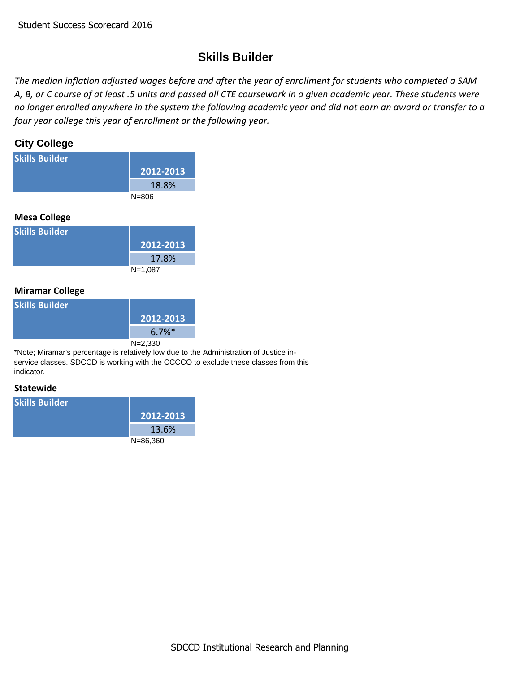## **Skills Builder**

The median inflation adjusted wages before and after the year of enrollment for students who completed a SAM A, B, or C course of at least .5 units and passed all CTE coursework in a given academic year. These students were no longer enrolled anywhere in the system the following academic year and did not earn an award or transfer to a *four year college this year of enrollment or the following year.*

## **City College**

| <b>Skills Builder</b> |           |
|-----------------------|-----------|
|                       | 2012-2013 |
|                       | 18.8%     |
|                       | $N = 806$ |
|                       |           |

## **Mesa College**

| <b>Skills Builder</b> |           |
|-----------------------|-----------|
|                       | 2012-2013 |
|                       | 17.8%     |
|                       | $N=1,087$ |

## **Miramar College**

| <b>Skills Builder</b> |                      |
|-----------------------|----------------------|
|                       | 2012-2013            |
|                       | $6.7\%$ <sup>*</sup> |
|                       | $N = 2,330$          |

\*Note; Miramar's percentage is relatively low due to the Administration of Justice inservice classes. SDCCD is working with the CCCCO to exclude these classes from this indicator.

| <b>Skills Builder</b> |              |
|-----------------------|--------------|
|                       | 2012-2013    |
|                       | 13.6%        |
|                       | $N = 86,360$ |